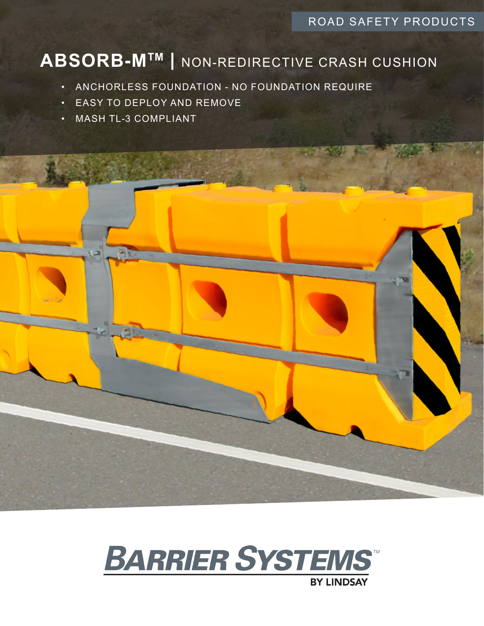## ROAD SAFETY PRODUCTS

## **ABSORB-MTM |** NON-REDIRECTIVE CRASH CUSHION

- ANCHORLESS FOUNDATION NO FOUNDATION REQUIRE
- EASY TO DEPLOY AND REMOVE
- MASH TL-3 COMPLIANT